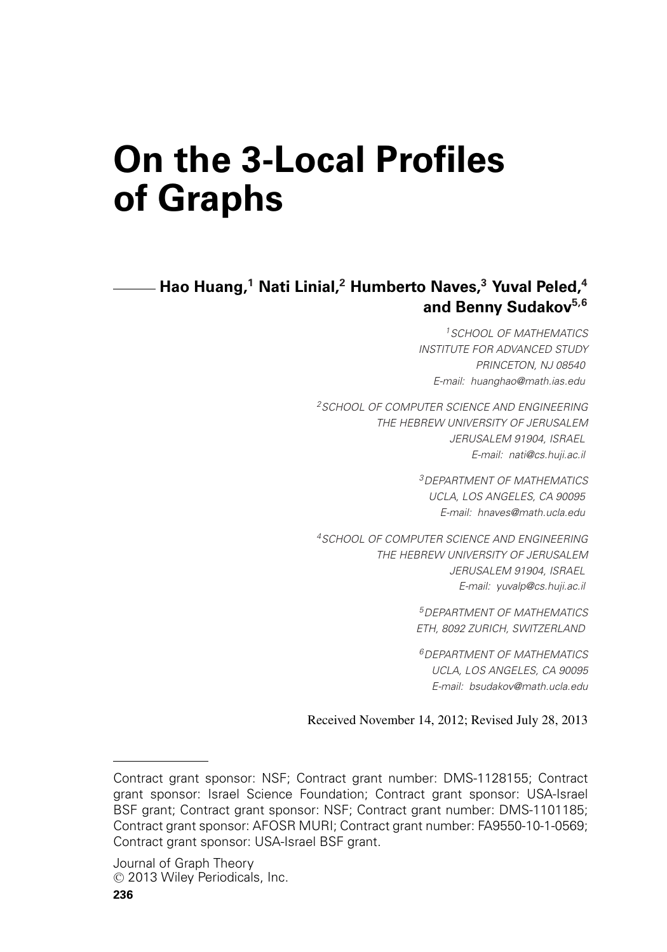# **On the 3-Local Profiles of Graphs**

**Hao Huang,<sup>1</sup> Nati Linial,2 Humberto Naves,<sup>3</sup> Yuval Peled,4 and Benny Sudakov5,6**

> *1SCHOOL OF MATHEMATICS INSTITUTE FOR ADVANCED STUDY PRINCETON, NJ 08540 E-mail: huanghao@math.ias.edu*

*2SCHOOL OF COMPUTER SCIENCE AND ENGINEERING THE HEBREW UNIVERSITY OF JERUSALEM JERUSALEM 91904, ISRAEL E-mail: nati@cs.huji.ac.il*

> *3DEPARTMENT OF MATHEMATICS UCLA, LOS ANGELES, CA 90095 E-mail: hnaves@math.ucla.edu*

*4SCHOOL OF COMPUTER SCIENCE AND ENGINEERING THE HEBREW UNIVERSITY OF JERUSALEM JERUSALEM 91904, ISRAEL E-mail: yuvalp@cs.huji.ac.il*

> *5DEPARTMENT OF MATHEMATICS ETH, 8092 ZURICH, SWITZERLAND*

*6DEPARTMENT OF MATHEMATICS UCLA, LOS ANGELES, CA 90095 E-mail: bsudakov@math.ucla.edu*

Received November 14, 2012; Revised July 28, 2013

Contract grant sponsor: NSF; Contract grant number: DMS-1128155; Contract grant sponsor: Israel Science Foundation; Contract grant sponsor: USA-Israel BSF grant; Contract grant sponsor: NSF; Contract grant number: DMS-1101185; Contract grant sponsor: AFOSR MURI; Contract grant number: FA9550-10-1-0569; Contract grant sponsor: USA-Israel BSF grant.

Journal of Graph Theory © 2013 Wiley Periodicals, Inc.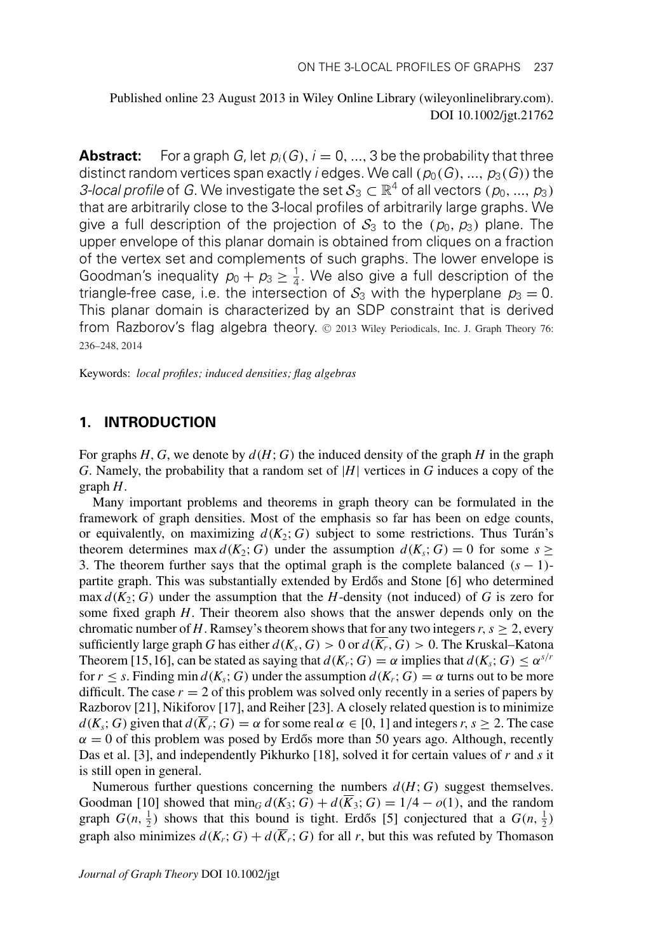Published online 23 August 2013 in Wiley Online Library (wileyonlinelibrary.com). DOI 10.1002/jgt.21762

**Abstract:** For a graph *G*, let  $p_i(G)$ ,  $i = 0, ..., 3$  be the probability that three distinct random vertices span exactly *i* edges. We call  $(p_0(G), ..., p_3(G))$  the *3-local profile* of *G*. We investigate the set  $S_3 \subset \mathbb{R}^4$  of all vectors  $(p_0, ..., p_3)$ that are arbitrarily close to the 3-local profiles of arbitrarily large graphs. We give a full description of the projection of  $S_3$  to the  $(p_0, p_3)$  plane. The upper envelope of this planar domain is obtained from cliques on a fraction of the vertex set and complements of such graphs. The lower envelope is Goodman's inequality  $p_0 + p_3 \geq \frac{1}{4}$ . We also give a full description of the triangle-free case, i.e. the intersection of  $S_3$  with the hyperplane  $p_3 = 0$ . This planar domain is characterized by an SDP constraint that is derived from Razborov's flag algebra theory. © 2013 Wiley Periodicals, Inc. J. Graph Theory 76: 236–248, 2014

Keywords: *local profiles; induced densities; flag algebras*

## **1. INTRODUCTION**

For graphs *H*, *G*, we denote by  $d(H; G)$  the induced density of the graph *H* in the graph *G*. Namely, the probability that a random set of |*H*| vertices in *G* induces a copy of the graph *H*.

Many important problems and theorems in graph theory can be formulated in the framework of graph densities. Most of the emphasis so far has been on edge counts, or equivalently, on maximizing  $d(K_2; G)$  subject to some restrictions. Thus Turán's theorem determines max  $d(K_2; G)$  under the assumption  $d(K_s; G) = 0$  for some  $s \geq$ 3. The theorem further says that the optimal graph is the complete balanced  $(s - 1)$ partite graph. This was substantially extended by Erdős and Stone  $[6]$  who determined max  $d(K_2; G)$  under the assumption that the *H*-density (not induced) of *G* is zero for some fixed graph *H*. Their theorem also shows that the answer depends only on the chromatic number of *H*. Ramsey's theorem shows that for any two integers  $r, s \geq 2$ , every sufficiently large graph *G* has either  $d(K_s, G) > 0$  or  $d(\overline{K_r}, G) > 0$ . The Kruskal–Katona Theorem [15,16], can be stated as saying that  $d(K_r; G) = \alpha$  implies that  $d(K_s; G) \leq \alpha^{s/r}$ for  $r \leq s$ . Finding min  $d(K_s; G)$  under the assumption  $d(K_r; G) = \alpha$  turns out to be more difficult. The case  $r = 2$  of this problem was solved only recently in a series of papers by Razborov [21], Nikiforov [17], and Reiher [23]. A closely related question is to minimize  $d(K_s; G)$  given that  $d(\overline{K}_r; G) = \alpha$  for some real  $\alpha \in [0, 1]$  and integers  $r, s \geq 2$ . The case  $\alpha = 0$  of this problem was posed by Erdős more than 50 years ago. Although, recently Das et al. [3], and independently Pikhurko [18], solved it for certain values of *r* and *s* it is still open in general.

Numerous further questions concerning the numbers  $d(H; G)$  suggest themselves. Goodman [10] showed that  $\min_G d(K_3; G) + d(K_3; G) = 1/4 - o(1)$ , and the random graph  $G(n, \frac{1}{2})$  shows that this bound is tight. Erdős [5] conjectured that a  $G(n, \frac{1}{2})$ graph also minimizes  $d(K_r; G) + d(\overline{K}_r; G)$  for all *r*, but this was refuted by Thomason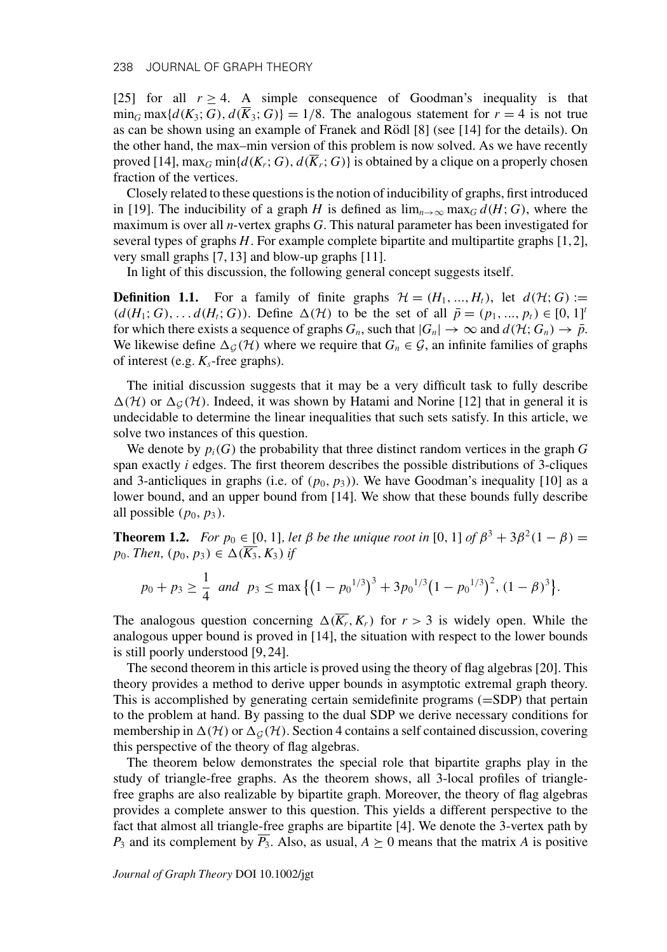[25] for all  $r \geq 4$ . A simple consequence of Goodman's inequality is that  $\min_G \max\{d(K_3; G), d(\overline{K}_3; G)\} = 1/8$ . The analogous statement for  $r = 4$  is not true as can be shown using an example of Franek and Rödl  $[8]$  (see  $[14]$  for the details). On the other hand, the max–min version of this problem is now solved. As we have recently proved [14],  $\max_G \min\{d(K_r; G), d(\overline{K}_r; G)\}$  is obtained by a clique on a properly chosen fraction of the vertices.

Closely related to these questions is the notion of inducibility of graphs, first introduced in [19]. The inducibility of a graph *H* is defined as  $\lim_{n\to\infty} \max_G d(H; G)$ , where the maximum is over all *n*-vertex graphs *G*. This natural parameter has been investigated for several types of graphs *H*. For example complete bipartite and multipartite graphs [1,2], very small graphs [7, 13] and blow-up graphs [11].

In light of this discussion, the following general concept suggests itself.

**Definition 1.1.** For a family of finite graphs  $\mathcal{H} = (H_1, ..., H_t)$ , let  $d(\mathcal{H}; G) :=$  $(d(H_1; G), \ldots, d(H_i; G))$ . Define  $\Delta(\mathcal{H})$  to be the set of all  $\bar{p} = (p_1, \ldots, p_t) \in [0, 1]^t$ for which there exists a sequence of graphs  $G_n$ , such that  $|G_n| \to \infty$  and  $d(\mathcal{H}; G_n) \to \bar{p}$ . We likewise define  $\Delta_G(\mathcal{H})$  where we require that  $G_n \in \mathcal{G}$ , an infinite families of graphs of interest (e.g.  $K_s$ -free graphs).

The initial discussion suggests that it may be a very difficult task to fully describe  $\Delta(\mathcal{H})$  or  $\Delta_G(\mathcal{H})$ . Indeed, it was shown by Hatami and Norine [12] that in general it is undecidable to determine the linear inequalities that such sets satisfy. In this article, we solve two instances of this question.

We denote by  $p_i(G)$  the probability that three distinct random vertices in the graph  $G$ span exactly *i* edges. The first theorem describes the possible distributions of 3-cliques and 3-anticliques in graphs (i.e. of  $(p_0, p_3)$ ). We have Goodman's inequality [10] as a lower bound, and an upper bound from [14]. We show that these bounds fully describe all possible  $(p_0, p_3)$ .

**Theorem 1.2.** *For p*<sub>0</sub>  $\in$  [0, 1]*, let*  $\beta$  *be the unique root in* [0, 1] *of*  $\beta^3 + 3\beta^2(1 - \beta) =$ *p*<sub>0</sub>*. Then,* (*p*<sub>0</sub>*, p*<sub>3</sub>) ∈  $\Delta$ ( $\overline{K_3}$ *, K*<sub>3</sub>) *if* 

$$
p_0 + p_3 \ge \frac{1}{4}
$$
 and  $p_3 \le \max\{(1 - p_0^{1/3})^3 + 3p_0^{1/3}(1 - p_0^{1/3})^2, (1 - \beta)^3\}.$ 

The analogous question concerning  $\Delta(\overline{K_r}, K_r)$  for  $r > 3$  is widely open. While the analogous upper bound is proved in [14], the situation with respect to the lower bounds is still poorly understood [9, 24].

The second theorem in this article is proved using the theory of flag algebras [20]. This theory provides a method to derive upper bounds in asymptotic extremal graph theory. This is accomplished by generating certain semidefinite programs (=SDP) that pertain to the problem at hand. By passing to the dual SDP we derive necessary conditions for membership in  $\Delta(H)$  or  $\Delta_G(H)$ . Section 4 contains a self contained discussion, covering this perspective of the theory of flag algebras.

The theorem below demonstrates the special role that bipartite graphs play in the study of triangle-free graphs. As the theorem shows, all 3-local profiles of trianglefree graphs are also realizable by bipartite graph. Moreover, the theory of flag algebras provides a complete answer to this question. This yields a different perspective to the fact that almost all triangle-free graphs are bipartite [4]. We denote the 3-vertex path by  $P_3$  and its complement by  $\overline{P_3}$ . Also, as usual,  $A \succeq 0$  means that the matrix *A* is positive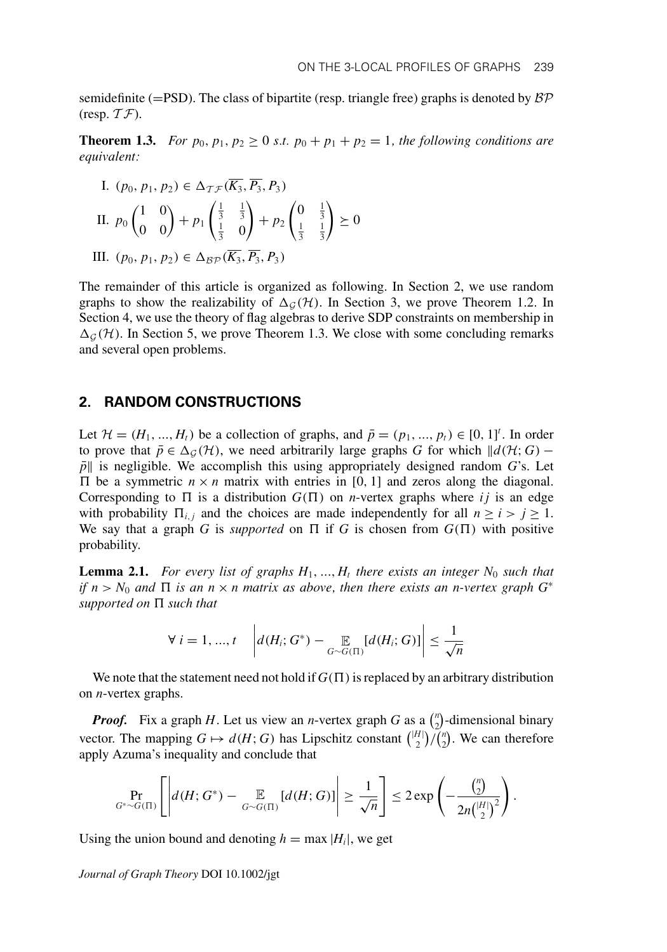semidefinite (=PSD). The class of bipartite (resp. triangle free) graphs is denoted by  $\beta \mathcal{P}$ (resp.  $T\mathcal{F}$ ).

**Theorem 1.3.** *For*  $p_0, p_1, p_2 \ge 0$  *s.t.*  $p_0 + p_1 + p_2 = 1$ *, the following conditions are equivalent:*

I. 
$$
(p_0, p_1, p_2) \in \Delta_{\mathcal{T}\mathcal{F}}(\overline{K_3}, \overline{P_3}, P_3)
$$
  
\nII.  $p_0 \begin{pmatrix} 1 & 0 \\ 0 & 0 \end{pmatrix} + p_1 \begin{pmatrix} \frac{1}{3} & \frac{1}{3} \\ \frac{1}{3} & 0 \end{pmatrix} + p_2 \begin{pmatrix} 0 & \frac{1}{3} \\ \frac{1}{3} & \frac{1}{3} \end{pmatrix} \succeq 0$ 

III.  $(p_0, p_1, p_2)$  ∈  $\Delta_{\mathcal{BP}}(K_3, P_3, P_3)$ 

The remainder of this article is organized as following. In Section 2, we use random graphs to show the realizability of  $\Delta_G(\mathcal{H})$ . In Section 3, we prove Theorem 1.2. In Section 4, we use the theory of flag algebras to derive SDP constraints on membership in  $\Delta_{G}(\mathcal{H})$ . In Section 5, we prove Theorem 1.3. We close with some concluding remarks and several open problems.

#### **2. RANDOM CONSTRUCTIONS**

Let  $\mathcal{H} = (H_1, ..., H_t)$  be a collection of graphs, and  $\bar{p} = (p_1, ..., p_t) \in [0, 1]^t$ . In order to prove that  $\bar{p} \in \Delta_{\mathcal{G}}(\mathcal{H})$ , we need arbitrarily large graphs *G* for which  $\|d(\mathcal{H}; G) \bar{p}$  is negligible. We accomplish this using appropriately designed random *G*'s. Let  $\Pi$  be a symmetric  $n \times n$  matrix with entries in [0, 1] and zeros along the diagonal. Corresponding to  $\Pi$  is a distribution  $G(\Pi)$  on *n*-vertex graphs where *i j* is an edge with probability  $\Pi_{i,j}$  and the choices are made independently for all  $n \ge i > j \ge 1$ . We say that a graph *G* is *supported* on  $\Pi$  if *G* is chosen from  $G(\Pi)$  with positive probability.

**Lemma 2.1.** For every list of graphs  $H_1, ..., H_t$  there exists an integer  $N_0$  such that *if*  $n > N_0$  and  $\Pi$  is an  $n \times n$  matrix as above, then there exists an n-vertex graph  $G^*$ *supported on such that*

$$
\forall i = 1, ..., t \quad \left| d(H_i; G^*) - \mathop{\mathbb{E}}_{G \sim G(\Pi)}[d(H_i; G)] \right| \leq \frac{1}{\sqrt{n}}
$$

We note that the statement need not hold if  $G(\Pi)$  is replaced by an arbitrary distribution on *n*-vertex graphs.

*Proof.* Fix a graph *H*. Let us view an *n*-vertex graph *G* as a  $\binom{n}{2}$ -dimensional binary vector. The mapping  $G \mapsto d(H; G)$  has Lipschitz constant  $\binom{|H|}{2}$   $\binom{n}{2}$ . We can therefore apply Azuma's inequality and conclude that

$$
\Pr_{G^*\sim G(\Pi)}\left[\left|d(H;G^*)-\mathop{\mathbb{E}}_{G\sim G(\Pi)}[d(H;G)]\right|\geq \frac{1}{\sqrt{n}}\right]\leq 2\exp\left(-\frac{\binom{n}{2}}{2n\binom{|H|}{2}^2}\right).
$$

Using the union bound and denoting  $h = \max |H_i|$ , we get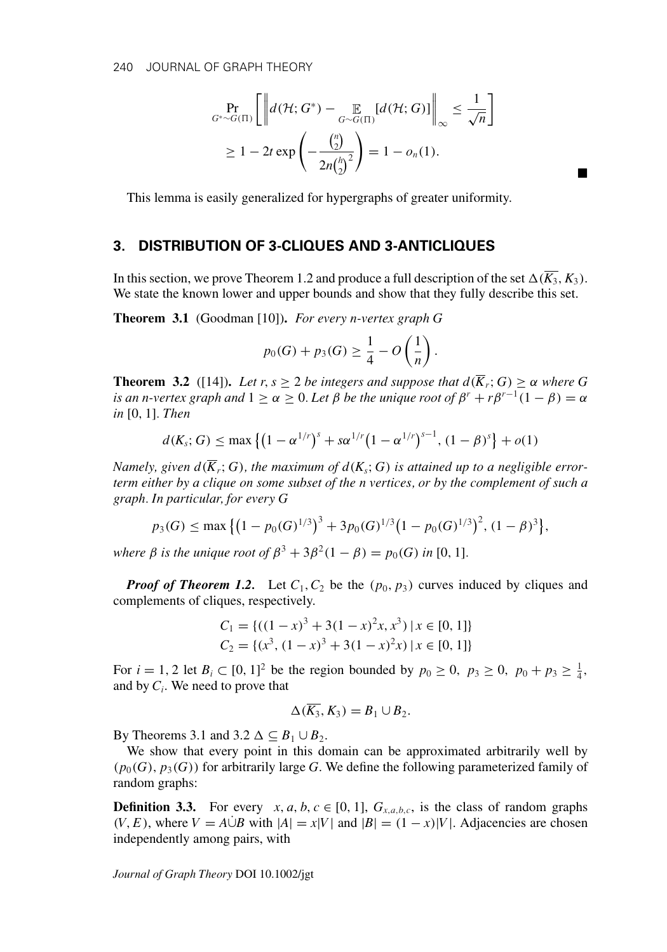$$
\Pr_{G^*\sim G(\Pi)} \left[ \left\| d(\mathcal{H}; G^*) - \mathop{\mathbb{E}}_{G\sim G(\Pi)} [d(\mathcal{H}; G)] \right\|_{\infty} \le \frac{1}{\sqrt{n}} \right]
$$
  
\n
$$
\ge 1 - 2t \exp\left( -\frac{\binom{n}{2}}{2n\binom{h}{2}^2} \right) = 1 - o_n(1).
$$

-

This lemma is easily generalized for hypergraphs of greater uniformity.

## **3. DISTRIBUTION OF 3-CLIQUES AND 3-ANTICLIQUES**

In this section, we prove Theorem 1.2 and produce a full description of the set  $\Delta(\overline{K_3}, K_3)$ . We state the known lower and upper bounds and show that they fully describe this set.

**Theorem 3.1** (Goodman [10])**.** *For every n-vertex graph G*

$$
p_0(G) + p_3(G) \ge \frac{1}{4} - O\left(\frac{1}{n}\right).
$$

**Theorem 3.2** ([14]). Let r,  $s \geq 2$  be integers and suppose that  $d(\overline{K}_r; G) \geq \alpha$  where G *is an n-vertex graph and*  $1 \ge \alpha \ge 0$ . Let  $\beta$  be the unique root of  $\beta^r + r\beta^{r-1}(1-\beta) = \alpha$ *in* [0, 1]*. Then*

$$
d(K_s; G) \le \max \left\{ \left(1 - \alpha^{1/r}\right)^s + s \alpha^{1/r} \left(1 - \alpha^{1/r}\right)^{s-1}, \left(1 - \beta\right)^s \right\} + o(1)
$$

*Namely, given*  $d(\overline{K}_r; G)$ *, the maximum of*  $d(K_s; G)$  *is attained up to a negligible errorterm either by a clique on some subset of the n vertices, or by the complement of such a graph. In particular, for every G*

$$
p_3(G) \le \max\{(1 - p_0(G)^{1/3})^3 + 3p_0(G)^{1/3}(1 - p_0(G)^{1/3})^2, (1 - \beta)^3\},\
$$

*where*  $\beta$  *is the unique root of*  $\beta^3 + 3\beta^2(1 - \beta) = p_0(G)$  *in* [0, 1]*.* 

*Proof of Theorem 1.2.* Let  $C_1$ ,  $C_2$  be the  $(p_0, p_3)$  curves induced by cliques and complements of cliques, respectively.

$$
C_1 = \{ ((1-x)^3 + 3(1-x)^2x, x^3) \mid x \in [0, 1] \}
$$
  
\n
$$
C_2 = \{ (x^3, (1-x)^3 + 3(1-x)^2x) \mid x \in [0, 1] \}
$$

For  $i = 1, 2$  let  $B_i \subset [0, 1]^2$  be the region bounded by  $p_0 \ge 0$ ,  $p_3 \ge 0$ ,  $p_0 + p_3 \ge \frac{1}{4}$ , and by  $C_i$ . We need to prove that

$$
\Delta(\overline{K_3}, K_3) = B_1 \cup B_2.
$$

By Theorems 3.1 and 3.2  $\Delta \subseteq B_1 \cup B_2$ .

We show that every point in this domain can be approximated arbitrarily well by  $(p_0(G), p_3(G))$  for arbitrarily large *G*. We define the following parameterized family of random graphs:

**Definition 3.3.** For every *x*, *a*, *b*, *c*  $\in$  [0, 1],  $G_{x,a,b,c}$ , is the class of random graphs  $(V, E)$ , where  $V = A \dot{\cup} B$  with  $|A| = x|V|$  and  $|B| = (1 - x)|V|$ . Adjacencies are chosen independently among pairs, with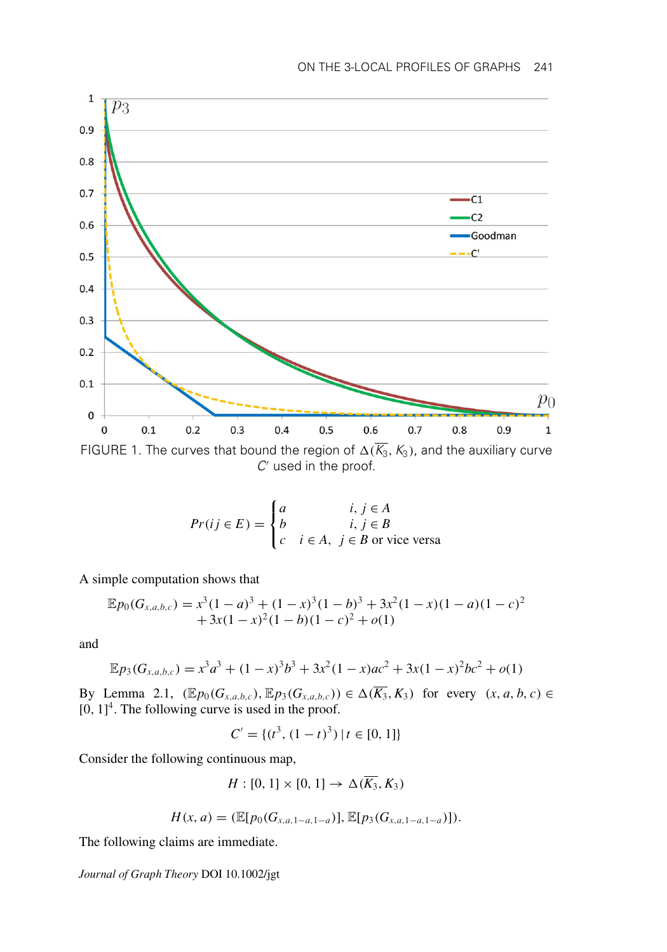

*C* used in the proof.

$$
Pr(ij \in E) = \begin{cases} a & i, j \in A \\ b & i, j \in B \\ c & i \in A, j \in B \text{ or vice versa} \end{cases}
$$

A simple computation shows that

$$
\mathbb{E}p_0(G_{x,a,b,c}) = x^3(1-a)^3 + (1-x)^3(1-b)^3 + 3x^2(1-x)(1-a)(1-c)^2
$$
  
+3x(1-x)^2(1-b)(1-c)^2 + o(1)

and

$$
\mathbb{E}p_3(G_{x,a,b,c}) = x^3a^3 + (1-x)^3b^3 + 3x^2(1-x)ac^2 + 3x(1-x)^2bc^2 + o(1)
$$

By Lemma 2.1,  $(\mathbb{E}p_0(G_{x,a,b,c}), \mathbb{E}p_3(G_{x,a,b,c})) \in \Delta(\overline{K_3}, K_3)$  for every  $(x, a, b, c) \in$  $[0, 1]^4$ . The following curve is used in the proof.

$$
C' = \{ (t^3, (1-t)^3) \mid t \in [0, 1] \}
$$

Consider the following continuous map,

$$
H: [0, 1] \times [0, 1] \rightarrow \Delta(\overline{K_3}, K_3)
$$

$$
H(x, a) = (\mathbb{E}[p_0(G_{x, a, 1-a, 1-a})], \mathbb{E}[p_3(G_{x, a, 1-a, 1-a})]).
$$

The following claims are immediate.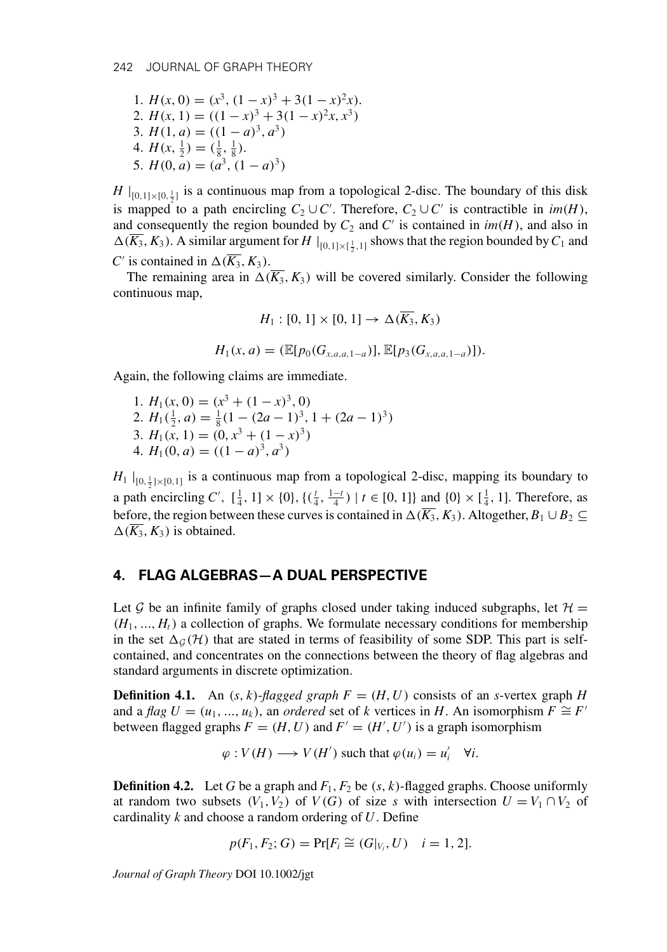1. 
$$
H(x, 0) = (x^3, (1 - x)^3 + 3(1 - x)^2x)
$$
.  
\n2.  $H(x, 1) = ((1 - x)^3 + 3(1 - x)^2x, x^3)$   
\n3.  $H(1, a) = ((1 - a)^3, a^3)$   
\n4.  $H(x, \frac{1}{2}) = (\frac{1}{8}, \frac{1}{8})$ .  
\n5.  $H(0, a) = (a^3, (1 - a)^3)$ 

*H*  $|_{[0,1]\times[0,\frac{1}{2}]}$  is a continuous map from a topological 2-disc. The boundary of this disk is mapped to a path encircling  $C_2 \cup C'$ . Therefore,  $C_2 \cup C'$  is contractible in  $im(H)$ , and consequently the region bounded by  $C_2$  and  $C'$  is contained in  $im(H)$ , and also in  $\Delta(\overline{K_3}, K_3)$ . A similar argument for  $H\mid_{[0,1]\times[\frac{1}{2},1]}$  shows that the region bounded by  $C_1$  and *C*<sup> $\prime$ </sup> is contained in  $\Delta(\overline{K_3}, K_3)$ .

The remaining area in  $\Delta(\overline{K_3}, K_3)$  will be covered similarly. Consider the following continuous map,

$$
H_1: [0, 1] \times [0, 1] \to \Delta(\overline{K_3}, K_3)
$$
  

$$
H_1(x, a) = (\mathbb{E}[p_0(G_{x, a, a, 1-a})], \mathbb{E}[p_3(G_{x, a, a, 1-a})]).
$$

Again, the following claims are immediate.

1.  $H_1(x, 0) = (x^3 + (1 - x)^3, 0)$ 2.  $H_1(\frac{1}{2}, a) = \frac{1}{8}(1 - (2a - 1)^3, 1 + (2a - 1)^3)$ 3.  $H_1(x, 1) = (0, x^3 + (1 - x)^3)$ 4.  $H_1(0, a) = ((1 - a)^3, a^3)$ 

 $H_1 \mid_{[0, \frac{1}{2}] \times [0,1]}$  is a continuous map from a topological 2-disc, mapping its boundary to a path encircling *C'*,  $[\frac{1}{4}, 1] \times \{0\}$ ,  $\{(\frac{t}{4}, \frac{1-t}{4}) | t \in [0, 1]\}$  and  $\{0\} \times [\frac{1}{4}, 1]$ . Therefore, as before, the region between these curves is contained in  $\Delta(\overline{K_3}, K_3)$ . Altogether,  $B_1 \cup B_2 \subseteq$  $\Delta(K_3, K_3)$  is obtained.

#### **4. FLAG ALGEBRAS—A DUAL PERSPECTIVE**

Let G be an infinite family of graphs closed under taking induced subgraphs, let  $\mathcal{H} =$  $(H_1, ..., H_t)$  a collection of graphs. We formulate necessary conditions for membership in the set  $\Delta_G(\mathcal{H})$  that are stated in terms of feasibility of some SDP. This part is selfcontained, and concentrates on the connections between the theory of flag algebras and standard arguments in discrete optimization.

**Definition 4.1.** An  $(s, k)$ -*flagged graph*  $F = (H, U)$  consists of an *s*-vertex graph *H* and a *flag*  $U = (u_1, ..., u_k)$ , an *ordered* set of *k* vertices in *H*. An isomorphism  $F \cong F'$ between flagged graphs  $F = (H, U)$  and  $F' = (H', U')$  is a graph isomorphism

 $\varphi: V(H) \longrightarrow V(H')$  such that  $\varphi(u_i) = u'_i \quad \forall i$ .

**Definition 4.2.** Let *G* be a graph and  $F_1$ ,  $F_2$  be  $(s, k)$ -flagged graphs. Choose uniformly at random two subsets  $(V_1, V_2)$  of  $V(G)$  of size *s* with intersection  $U = V_1 \cap V_2$  of cardinality *k* and choose a random ordering of *U*. Define

$$
p(F_1, F_2; G) = Pr[F_i \cong (G|_{V_i}, U) \quad i = 1, 2].
$$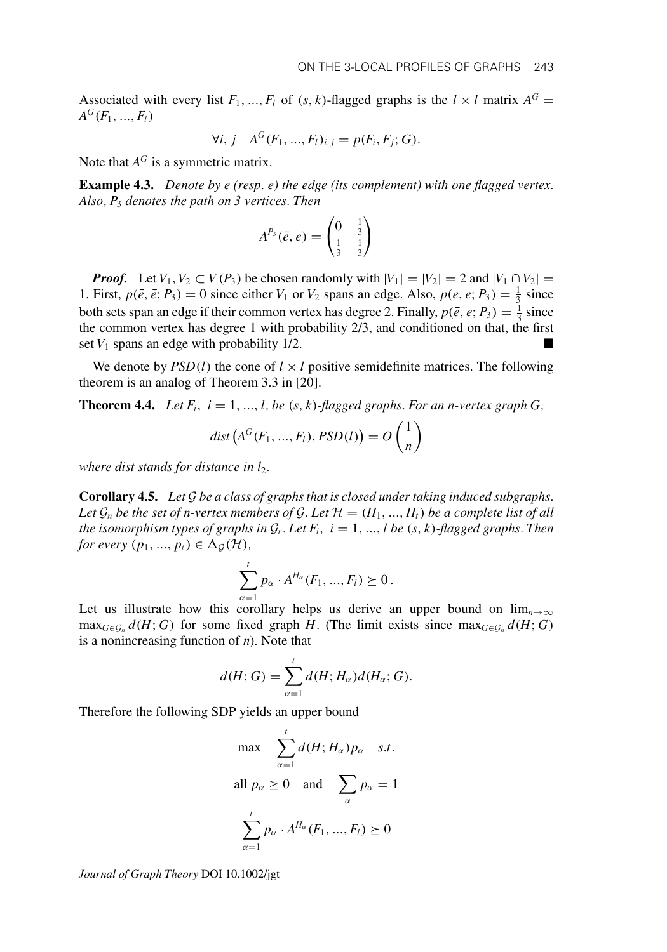Associated with every list  $F_1, ..., F_l$  of  $(s, k)$ -flagged graphs is the  $l \times l$  matrix  $A^G$  $A^G(F_1, ..., F_l)$ 

$$
\forall i, j \quad A^G(F_1, ..., F_l)_{i,j} = p(F_i, F_j; G).
$$

Note that  $A^G$  is a symmetric matrix.

**Example 4.3.** *Denote by e (resp. e) the edge (its complement) with one flagged vertex. Also, P*<sup>3</sup> *denotes the path on 3 vertices. Then*

$$
A^{P_3}(\bar{e},e)=\begin{pmatrix}0&\frac{1}{3}\\ \frac{1}{3}&\frac{1}{3}\end{pmatrix}
$$

*Proof.* Let  $V_1, V_2 \subset V(P_3)$  be chosen randomly with  $|V_1| = |V_2| = 2$  and  $|V_1 \cap V_2| =$ 1. First,  $p(\bar{e}, \bar{e}; P_3) = 0$  since either  $V_1$  or  $V_2$  spans an edge. Also,  $p(e, e; P_3) = \frac{1}{3}$  since both sets span an edge if their common vertex has degree 2. Finally,  $p(\bar{e}, e; P_3) = \frac{1}{3}$  since the common vertex has degree 1 with probability 2/3, and conditioned on that, the first set  $V_1$  spans an edge with probability  $1/2$ .

We denote by  $PSD(l)$  the cone of  $l \times l$  positive semidefinite matrices. The following theorem is an analog of Theorem 3.3 in [20].

**Theorem 4.4.** *Let F<sub>i</sub>*,  $i = 1, ..., l$ , *be*  $(s, k)$ *-flagged graphs. For an n-vertex graph G*,

$$
dist(AG(F1, ..., Fl), PSD(l)) = O\left(\frac{1}{n}\right)
$$

*where dist stands for distance in*  $l_2$ *.* 

**Corollary 4.5.** *Let* G *be a class of graphs that is closed under taking induced subgraphs.* Let  $\mathcal{G}_n$  be the set of n-vertex members of  $\mathcal{G}$ . Let  $\mathcal{H} = (H_1, ..., H_t)$  be a complete list of all *the isomorphism types of graphs in*  $G_r$ *. Let*  $F_i$ *,*  $i = 1, ..., l$  be  $(s, k)$ *-flagged graphs. Then for every*  $(p_1, ..., p_t) \in \Delta_G(\mathcal{H})$ ,

$$
\sum_{\alpha=1}^t p_\alpha \cdot A^{H_\alpha}(F_1, ..., F_l) \succeq 0.
$$

Let us illustrate how this corollary helps us derive an upper bound on  $\lim_{n\to\infty}$  $\max_{G \in \mathcal{G}_n} d(H; G)$  for some fixed graph *H*. (The limit exists since  $\max_{G \in \mathcal{G}_n} d(H; G)$ is a nonincreasing function of *n*). Note that

$$
d(H; G) = \sum_{\alpha=1}^{t} d(H; H_{\alpha}) d(H_{\alpha}; G).
$$

Therefore the following SDP yields an upper bound

$$
\max \sum_{\alpha=1}^{t} d(H; H_{\alpha}) p_{\alpha} \quad s.t.
$$
  
all  $p_{\alpha} \ge 0$  and  $\sum_{\alpha} p_{\alpha} = 1$   

$$
\sum_{\alpha=1}^{t} p_{\alpha} \cdot A^{H_{\alpha}}(F_1, ..., F_l) \ge 0
$$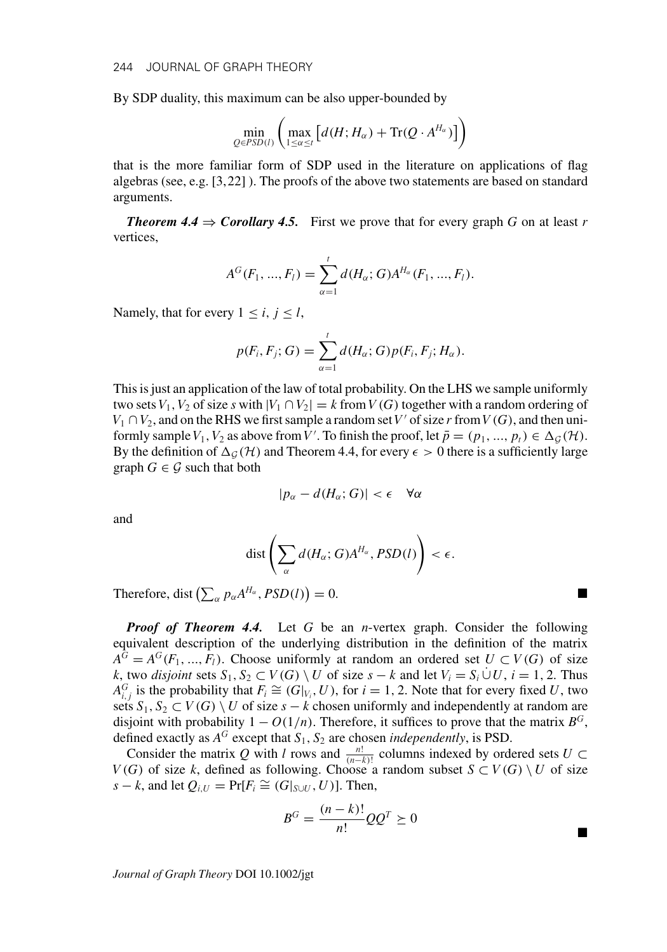By SDP duality, this maximum can be also upper-bounded by

$$
\min_{Q \in PSD(l)} \left( \max_{1 \leq \alpha \leq t} \left[ d(H; H_\alpha) + \text{Tr}(Q \cdot A^{H_\alpha}) \right] \right)
$$

that is the more familiar form of SDP used in the literature on applications of flag algebras (see, e.g. [3,22] ). The proofs of the above two statements are based on standard arguments.

*Theorem 4.4*  $\Rightarrow$  *Corollary 4.5.* First we prove that for every graph G on at least r vertices,

$$
A^{G}(F_1, ..., F_l) = \sum_{\alpha=1}^{l} d(H_{\alpha}; G) A^{H_{\alpha}}(F_1, ..., F_l).
$$

Namely, that for every  $1 \le i, j \le l$ ,

$$
p(F_i, F_j; G) = \sum_{\alpha=1}^t d(H_\alpha; G) p(F_i, F_j; H_\alpha).
$$

This is just an application of the law of total probability. On the LHS we sample uniformly two sets  $V_1$ ,  $V_2$  of size *s* with  $|V_1 \cap V_2| = k$  from  $V(G)$  together with a random ordering of  $V_1 \cap V_2$ , and on the RHS we first sample a random set V' of size r from  $V(G)$ , and then uniformly sample  $V_1$ ,  $V_2$  as above from  $V'$ . To finish the proof, let  $\bar{p} = (p_1, ..., p_t) \in \Delta_{\mathcal{G}}(\mathcal{H})$ . By the definition of  $\Delta_G(\mathcal{H})$  and Theorem 4.4, for every  $\epsilon > 0$  there is a sufficiently large graph  $G \in \mathcal{G}$  such that both

$$
|p_{\alpha} - d(H_{\alpha}; G)| < \epsilon \quad \forall \alpha
$$

and

$$
\text{dist}\left(\sum_{\alpha}d(H_{\alpha};G)A^{H_{\alpha}},PSD(l)\right)<\epsilon.
$$

Therefore, dist  $\left(\sum_{\alpha} p_{\alpha} A^{H_{\alpha}},PSD(l)\right)$  $= 0.$ 

*Proof of Theorem 4.4.* Let *G* be an *n*-vertex graph. Consider the following equivalent description of the underlying distribution in the definition of the matrix  $A^G = A^G(F_1, ..., F_l)$ . Choose uniformly at random an ordered set  $U \subset V(G)$  of size *k*, two *disjoint* sets *S*<sub>1</sub>, *S*<sub>2</sub> ⊂ *V*(*G*) \ *U* of size *s* − *k* and let  $V_i = S_i \cup U$ , *i* = 1, 2. Thus  $A_{i,j}^G$  is the probability that  $F_i \cong (G|_{V_i}, U)$ , for *i* = 1, 2. Note that for every fixed *U*, two sets  $S_1, S_2 \subset V(G) \setminus U$  of size  $s - k$  chosen uniformly and independently at random are disjoint with probability  $1 - O(1/n)$ . Therefore, it suffices to prove that the matrix  $B^G$ , defined exactly as  $A^G$  except that  $S_1$ ,  $S_2$  are chosen *independently*, is PSD.

Consider the matrix *Q* with *l* rows and  $\frac{n!}{(n-k)!}$  columns indexed by ordered sets  $U \subset$ *V*(*G*) of size *k*, defined as following. Choose a random subset *S* ⊂ *V*(*G*) \ *U* of size *s* − *k*, and let  $Q_{i,U}$  = Pr[ $F_i$   $\cong$  ( $G|_{S\cup U}$ , *U*)]. Then,

$$
B^G = \frac{(n-k)!}{n!}QQ^T \succeq 0
$$

-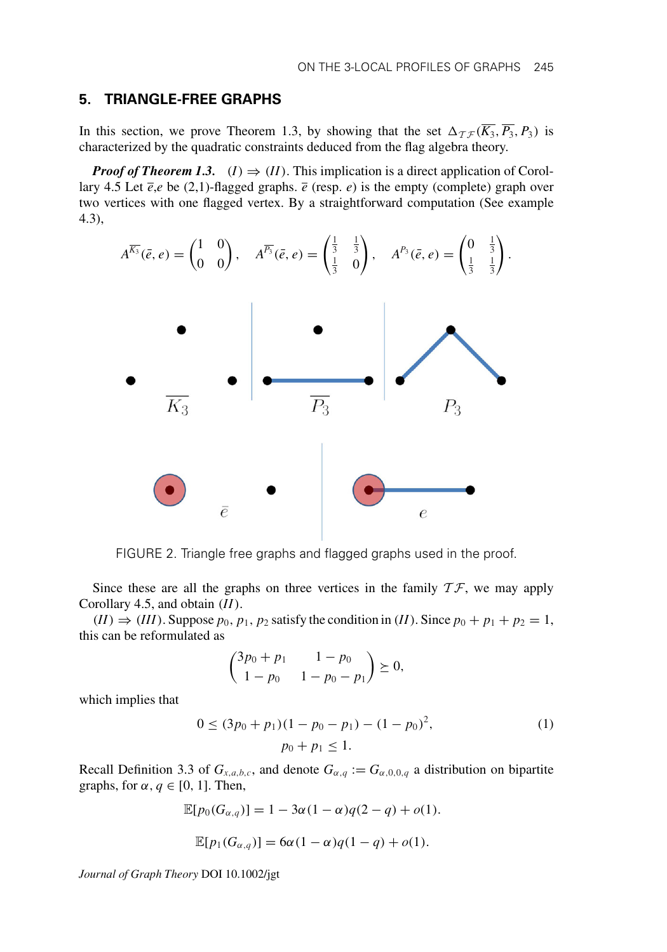## **5. TRIANGLE-FREE GRAPHS**

In this section, we prove Theorem 1.3, by showing that the set  $\Delta_{\mathcal{TF}}(\overline{K_3}, \overline{P_3}, P_3)$  is characterized by the quadratic constraints deduced from the flag algebra theory.

*Proof of Theorem 1.3.* (*I*)  $\Rightarrow$  (*II*). This implication is a direct application of Corollary 4.5 Let  $\bar{e}$ , $e$  be (2,1)-flagged graphs.  $\bar{e}$  (resp.  $e$ ) is the empty (complete) graph over two vertices with one flagged vertex. By a straightforward computation (See example 4.3),

$$
A^{\overline{K_3}}(\bar{e},e) = \begin{pmatrix} 1 & 0 \\ 0 & 0 \end{pmatrix}, \quad A^{\overline{P_3}}(\bar{e},e) = \begin{pmatrix} \frac{1}{3} & \frac{1}{3} \\ \frac{1}{3} & 0 \end{pmatrix}, \quad A^{P_3}(\bar{e},e) = \begin{pmatrix} 0 & \frac{1}{3} \\ \frac{1}{3} & \frac{1}{3} \end{pmatrix}.
$$



FIGURE 2. Triangle free graphs and flagged graphs used in the proof.

Since these are all the graphs on three vertices in the family  $T\mathcal{F}$ , we may apply Corollary 4.5, and obtain (*II*).

 $(II) \Rightarrow (III)$ . Suppose  $p_0, p_1, p_2$  satisfy the condition in (*II*). Since  $p_0 + p_1 + p_2 = 1$ , this can be reformulated as

$$
\begin{pmatrix} 3p_0 + p_1 & 1 - p_0 \ 1 - p_0 & 1 - p_0 - p_1 \end{pmatrix} \succeq 0,
$$

which implies that

$$
0 \le (3p_0 + p_1)(1 - p_0 - p_1) - (1 - p_0)^2,
$$
  
\n
$$
p_0 + p_1 \le 1.
$$
 (1)

Recall Definition 3.3 of  $G_{x,a,b,c}$ , and denote  $G_{\alpha,q} := G_{\alpha,0,0,q}$  a distribution on bipartite graphs, for  $\alpha, q \in [0, 1]$ . Then,

$$
\mathbb{E}[p_0(G_{\alpha,q})] = 1 - 3\alpha(1-\alpha)q(2-q) + o(1).
$$
  

$$
\mathbb{E}[p_1(G_{\alpha,q})] = 6\alpha(1-\alpha)q(1-q) + o(1).
$$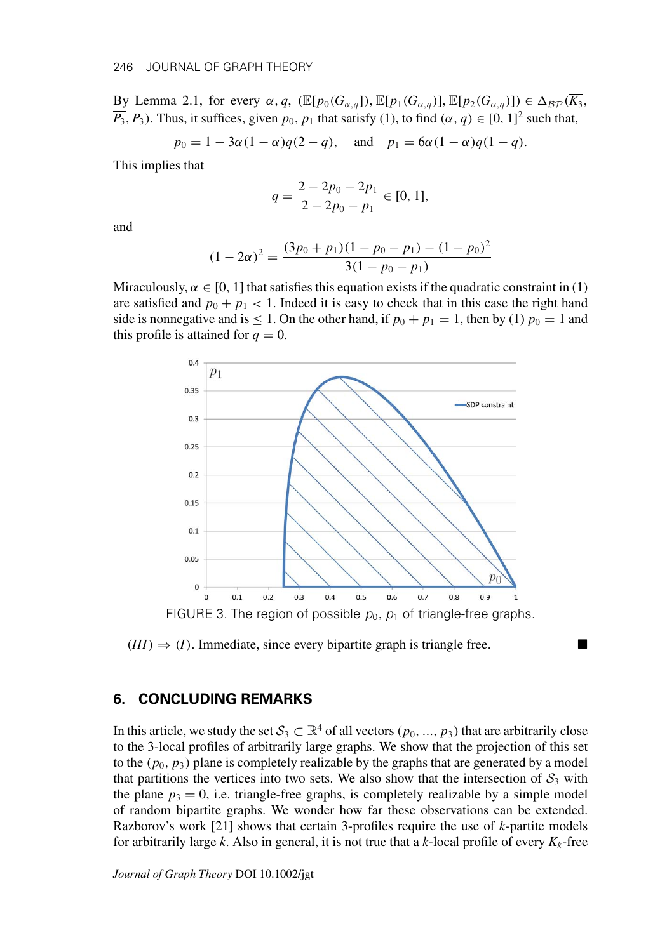By Lemma 2.1, for every  $\alpha$ , *q*, ( $\mathbb{E}[p_0(G_{\alpha,q})], \mathbb{E}[p_1(G_{\alpha,q})], \mathbb{E}[p_2(G_{\alpha,q})]) \in \Delta_{\mathcal{BP}}(\overline{K_3})$ ,  $\overline{P_3}$ ,  $P_3$ ). Thus, it suffices, given  $p_0$ ,  $p_1$  that satisfy (1), to find  $(\alpha, q) \in [0, 1]^2$  such that,

$$
p_0 = 1 - 3\alpha(1 - \alpha)q(2 - q)
$$
, and  $p_1 = 6\alpha(1 - \alpha)q(1 - q)$ .

This implies that

$$
q = \frac{2 - 2p_0 - 2p_1}{2 - 2p_0 - p_1} \in [0, 1],
$$

and

$$
(1 - 2\alpha)^2 = \frac{(3p_0 + p_1)(1 - p_0 - p_1) - (1 - p_0)^2}{3(1 - p_0 - p_1)}
$$

Miraculously,  $\alpha \in [0, 1]$  that satisfies this equation exists if the quadratic constraint in (1) are satisfied and  $p_0 + p_1 < 1$ . Indeed it is easy to check that in this case the right hand side is nonnegative and is  $\leq 1$ . On the other hand, if  $p_0 + p_1 = 1$ , then by (1)  $p_0 = 1$  and this profile is attained for  $q = 0$ .



 $(III) \Rightarrow (I)$ . Immediate, since every bipartite graph is triangle free.

#### **6. CONCLUDING REMARKS**

In this article, we study the set  $S_3 \subset \mathbb{R}^4$  of all vectors  $(p_0, ..., p_3)$  that are arbitrarily close to the 3-local profiles of arbitrarily large graphs. We show that the projection of this set to the  $(p_0, p_3)$  plane is completely realizable by the graphs that are generated by a model that partitions the vertices into two sets. We also show that the intersection of  $S_3$  with the plane  $p_3 = 0$ , i.e. triangle-free graphs, is completely realizable by a simple model of random bipartite graphs. We wonder how far these observations can be extended. Razborov's work [21] shows that certain 3-profiles require the use of *k*-partite models for arbitrarily large *k*. Also in general, it is not true that a *k*-local profile of every  $K_k$ -free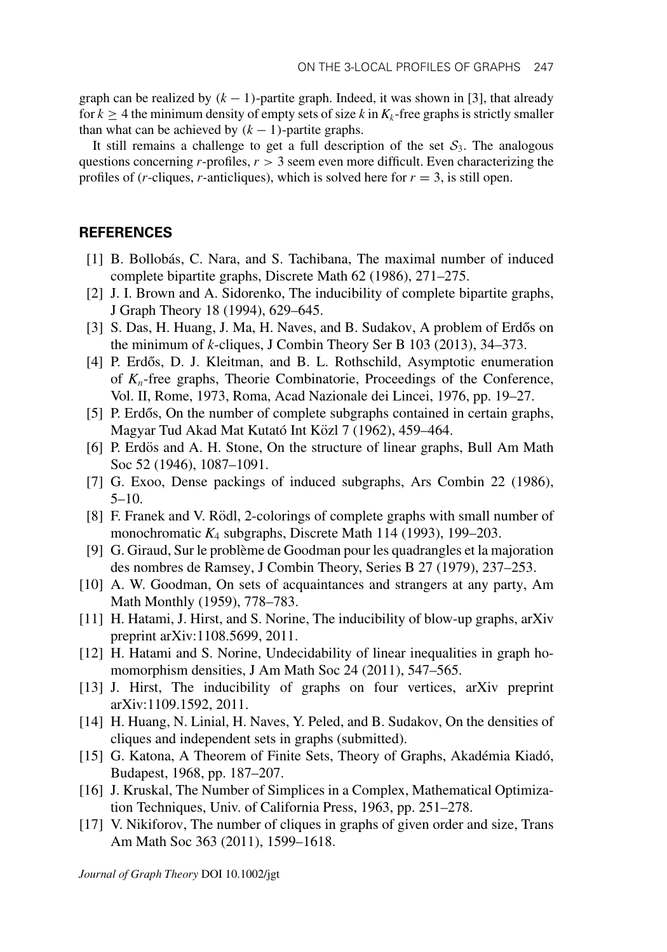graph can be realized by  $(k - 1)$ -partite graph. Indeed, it was shown in [3], that already for  $k \geq 4$  the minimum density of empty sets of size *k* in  $K_k$ -free graphs is strictly smaller than what can be achieved by  $(k - 1)$ -partite graphs.

It still remains a challenge to get a full description of the set  $S_3$ . The analogous questions concerning  $r$ -profiles,  $r > 3$  seem even more difficult. Even characterizing the profiles of (*r*-cliques, *r*-anticliques), which is solved here for  $r = 3$ , is still open.

## **REFERENCES**

- [1] B. Bollobás, C. Nara, and S. Tachibana, The maximal number of induced complete bipartite graphs, Discrete Math 62 (1986), 271–275.
- [2] J. I. Brown and A. Sidorenko, The inducibility of complete bipartite graphs, J Graph Theory 18 (1994), 629–645.
- [3] S. Das, H. Huang, J. Ma, H. Naves, and B. Sudakov, A problem of Erdős on the minimum of *k*-cliques, J Combin Theory Ser B 103 (2013), 34–373.
- [4] P. Erdős, D. J. Kleitman, and B. L. Rothschild, Asymptotic enumeration of *Kn*-free graphs, Theorie Combinatorie, Proceedings of the Conference, Vol. II, Rome, 1973, Roma, Acad Nazionale dei Lincei, 1976, pp. 19–27.
- [5] P. Erdős, On the number of complete subgraphs contained in certain graphs, Magyar Tud Akad Mat Kutató Int Közl 7 (1962), 459–464.
- [6] P. Erdös and A. H. Stone, On the structure of linear graphs, Bull Am Math Soc 52 (1946), 1087–1091.
- [7] G. Exoo, Dense packings of induced subgraphs, Ars Combin 22 (1986), 5–10.
- [8] F. Franek and V. Rödl, 2-colorings of complete graphs with small number of monochromatic *K*<sup>4</sup> subgraphs, Discrete Math 114 (1993), 199–203.
- [9] G. Giraud, Sur le probleme de Goodman pour les quadrangles et la majoration ` des nombres de Ramsey, J Combin Theory, Series B 27 (1979), 237–253.
- [10] A. W. Goodman, On sets of acquaintances and strangers at any party, Am Math Monthly (1959), 778–783.
- [11] H. Hatami, J. Hirst, and S. Norine, The inducibility of blow-up graphs, arXiv preprint arXiv:1108.5699, 2011.
- [12] H. Hatami and S. Norine, Undecidability of linear inequalities in graph homomorphism densities, J Am Math Soc 24 (2011), 547–565.
- [13] J. Hirst, The inducibility of graphs on four vertices, arXiv preprint arXiv:1109.1592, 2011.
- [14] H. Huang, N. Linial, H. Naves, Y. Peled, and B. Sudakov, On the densities of cliques and independent sets in graphs (submitted).
- [15] G. Katona, A Theorem of Finite Sets, Theory of Graphs, Akadémia Kiadó, Budapest, 1968, pp. 187–207.
- [16] J. Kruskal, The Number of Simplices in a Complex, Mathematical Optimization Techniques, Univ. of California Press, 1963, pp. 251–278.
- [17] V. Nikiforov, The number of cliques in graphs of given order and size, Trans Am Math Soc 363 (2011), 1599–1618.